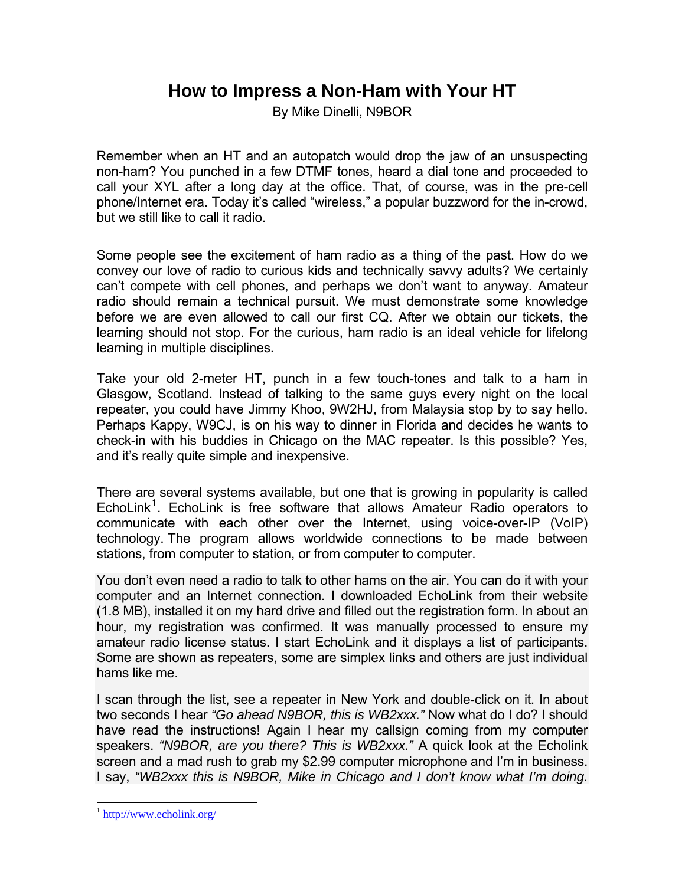## **How to Impress a Non-Ham with Your HT**

By Mike Dinelli, N9BOR

Remember when an HT and an autopatch would drop the jaw of an unsuspecting non-ham? You punched in a few DTMF tones, heard a dial tone and proceeded to call your XYL after a long day at the office. That, of course, was in the pre-cell phone/Internet era. Today it's called "wireless," a popular buzzword for the in-crowd, but we still like to call it radio.

Some people see the excitement of ham radio as a thing of the past. How do we convey our love of radio to curious kids and technically savvy adults? We certainly can't compete with cell phones, and perhaps we don't want to anyway. Amateur radio should remain a technical pursuit. We must demonstrate some knowledge before we are even allowed to call our first CQ. After we obtain our tickets, the learning should not stop. For the curious, ham radio is an ideal vehicle for lifelong learning in multiple disciplines.

Take your old 2-meter HT, punch in a few touch-tones and talk to a ham in Glasgow, Scotland. Instead of talking to the same guys every night on the local repeater, you could have Jimmy Khoo, 9W2HJ, from Malaysia stop by to say hello. Perhaps Kappy, W9CJ, is on his way to dinner in Florida and decides he wants to check-in with his buddies in Chicago on the MAC repeater. Is this possible? Yes, and it's really quite simple and inexpensive.

There are several systems available, but one that is growing in popularity is called EchoLink<sup>[1](#page-0-0)</sup>. EchoLink is free software that allows Amateur Radio operators to communicate with each other over the Internet, using voice-over-IP (VoIP) technology. The program allows worldwide connections to be made between stations, from computer to station, or from computer to computer.

You don't even need a radio to talk to other hams on the air. You can do it with your computer and an Internet connection. I downloaded EchoLink from their website (1.8 MB), installed it on my hard drive and filled out the registration form. In about an hour, my registration was confirmed. It was manually processed to ensure my amateur radio license status. I start EchoLink and it displays a list of participants. Some are shown as repeaters, some are simplex links and others are just individual hams like me.

I scan through the list, see a repeater in New York and double-click on it. In about two seconds I hear *"Go ahead N9BOR, this is WB2xxx."* Now what do I do? I should have read the instructions! Again I hear my callsign coming from my computer speakers. *"N9BOR, are you there? This is WB2xxx."* A quick look at the Echolink screen and a mad rush to grab my \$2.99 computer microphone and I'm in business. I say, *"WB2xxx this is N9BOR, Mike in Chicago and I don't know what I'm doing.* 

l

<span id="page-0-0"></span><sup>1</sup> <http://www.echolink.org/>